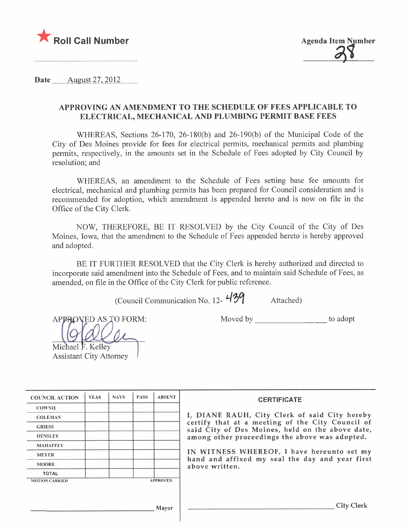



....................................

Date \_\_\_\_\_\_ August 27, 2012

## APPROVING AN AMENDMENT TO THE SCHEDULE OF FEES APPLICABLE TO ELECTRICAL, MECHANICAL AND PLUMBING PERMIT BASE FEES

WHEREAS, Sections 26-170, 26-180(b) and 26-190(b) of the Municipal Code of the City of Des Moines provide for fees for electrical permits, mechanical permits and plumbing permits, respectively, in the amounts set in the Schedule of Fees adopted by City Council by resolution; and

WHEREAS, an amendment to the Schedule of Fees setting base fee amounts for electrical, mechanical and plumbing permits has been prepared for Council consideration and is recommended for adoption, which amendment is appended hereto and is now on file in the Office of the City Clerk.

NOW, THEREFORE, BE IT RESOLVED by the City Council of the City of Des Moines, Iowa, that the amendment to the Schedule of Fees appended hereto is hereby approved and adopted.

BE IT FURTHER RESOLVED that the City Clerk is hereby authorized and directed to incorporate said amendment into the Schedule of Fees, and to maintain said Schedule of Fees, as amended, on file in the Office of the City Clerk for public reference.

(Council Communication No. 12-  $439$  Attached)

APPROVED AS TO FORM:

Moved by to adopt

| Michael F. Kelley |  |
|-------------------|--|

Assistant City Attorney

| <b>COUNCIL ACTION</b> | <b>YEAS</b> | <b>NAYS</b> | <b>PASS</b> | <b>ABSENT</b>   | <b>CERTIFICATE</b>                                                                                 |
|-----------------------|-------------|-------------|-------------|-----------------|----------------------------------------------------------------------------------------------------|
| <b>COWNIE</b>         |             |             |             |                 |                                                                                                    |
| <b>COLEMAN</b>        |             |             |             |                 | I, DIANE RAUH, City Clerk of said City hereb                                                       |
| <b>GRIESS</b>         |             |             |             |                 | certify that at a meeting of the City Council o<br>said City of Des Moines, held on the above date |
| <b>HENSLEY</b>        |             |             |             |                 | among other proceedings the above was adopted.                                                     |
| <b>MAHAFFEY</b>       |             |             |             |                 |                                                                                                    |
| <b>MEYER</b>          |             |             |             |                 | IN WITNESS WHEREOF, I have hereunto set m                                                          |
| <b>MOORE</b>          |             |             |             |                 | hand and affixed my seal the day and year first<br>above written.                                  |
| <b>TOTAL</b>          |             |             |             |                 |                                                                                                    |
| <b>MOTION CARRIED</b> |             |             |             | <b>APPROVED</b> |                                                                                                    |
|                       |             |             |             |                 |                                                                                                    |
|                       |             |             |             |                 |                                                                                                    |
|                       |             |             |             | Mayor           | <b>City Clerk</b>                                                                                  |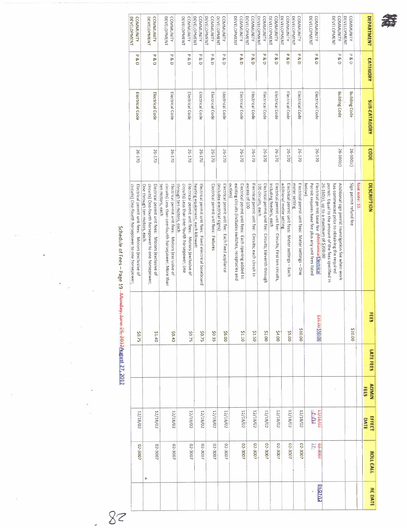

| <b>DEVELOPMENT</b><br><b>COMMUNITY</b>                                                                  | DEVELOPMENT<br><b>COMMUNITY</b>                                                                                                         | DEVELOPMENT<br><b>COMMUNITY</b>                                                                                               | DEVELOPMENT<br><b>COMMUNITY</b>                                                                                                    | DEVELOPMENT<br><b>COMMUNITY</b>                                                             | DEVELOPMENT<br><b>COMMUNITY</b>       | DEVELOPMENT<br><b>COMMUNITY</b>                                                 | DEVELOPMENT<br><b>COMMUNITY</b>                                                                                         | <b>DEVELOPMENT</b><br><b>COMMUNITY</b>                                 | <b>DEVELOPMENT</b><br><b>COMMUNITY</b>                                       | DEVELOPMENT<br><b>COMMUNITY</b>                                                      | DEVELOPMENT<br><b>COMMUNITY</b>                                                | DEVELOPMENT<br><b>COMMUNITY</b>                                    | DEVELOPMENT<br><b>COMMUNITY</b>                                                                                  | <b>COMMUNITY</b><br><b>DEVELOPMENT</b>                                                                                                                                                                | DEVELOPMENT<br><b>COMMUNITY</b> |               | <b>DEPARTMENT</b>           |
|---------------------------------------------------------------------------------------------------------|-----------------------------------------------------------------------------------------------------------------------------------------|-------------------------------------------------------------------------------------------------------------------------------|------------------------------------------------------------------------------------------------------------------------------------|---------------------------------------------------------------------------------------------|---------------------------------------|---------------------------------------------------------------------------------|-------------------------------------------------------------------------------------------------------------------------|------------------------------------------------------------------------|------------------------------------------------------------------------------|--------------------------------------------------------------------------------------|--------------------------------------------------------------------------------|--------------------------------------------------------------------|------------------------------------------------------------------------------------------------------------------|-------------------------------------------------------------------------------------------------------------------------------------------------------------------------------------------------------|---------------------------------|---------------|-----------------------------|
| P<br>8.D                                                                                                | ᠊ᢦ<br>8 D                                                                                                                               | P<br>8D                                                                                                                       | ᠊ᢦ<br>8D                                                                                                                           | P<br><sub>Ro</sub><br>Ò                                                                     | ℸ<br>Ŗ<br>Ò                           | Δ<br>Ŗ<br>$\cup$                                                                | P<br>ø<br>Ô                                                                                                             | p<br>œ<br>Ò                                                            | ᄁ<br>8D                                                                      | ᠊ᢦ<br>œ<br>Ò                                                                         | <b>P&amp;D</b>                                                                 | τ<br>∞<br>$\circ$                                                  | p<br>8 D                                                                                                         | $P$ &D                                                                                                                                                                                                | ᠊ᢦ<br>R<br>D                    |               | <b>CATEGORY</b>             |
| Electrical Code                                                                                         | Electrical Code                                                                                                                         | Electrical Code                                                                                                               | Electrical Code                                                                                                                    | Electrical Code                                                                             | Electrical Code                       | Electrical Code                                                                 | Electrical Code                                                                                                         | Electrical Code                                                        | Electrical Code                                                              | Electrical Code                                                                      | Electrical Code                                                                | Electrical Code                                                    | Electrical Code                                                                                                  | <b>Building Code</b>                                                                                                                                                                                  | <b>Building Code</b>            |               | <b>SUB-CATAGORY</b>         |
| 26-170                                                                                                  | 26-170                                                                                                                                  | 26-170                                                                                                                        | 26-170                                                                                                                             | 26-170                                                                                      | 26-170                                | 26-170                                                                          | 26-170                                                                                                                  | 26-170                                                                 | 26-170                                                                       | 26-170                                                                               | 26-170                                                                         | 26-170                                                             | 26-170                                                                                                           | 26-160(c)                                                                                                                                                                                             | 26-160(c)                       |               | copt                        |
| circuits) One-fourth horsepower to one horsepower;<br>Electrical permit unit fees: Motors (exclusive of | Electrical permit unit fees: Motors (exclusive of<br>One through ten motors, each<br>circuits) One-fourth horsepower to one horsepower; | circuits) Less than one-fourth horsepower; More than<br>Electrical permit unit fees: Motors (exclusive of<br>ten motors, each | through ten motors, each<br>circuits) Less than one-fourth horsepower; one<br>Electrical permit unit fees:<br>Motors (exclusive of | heating equipment, each kilowatt<br>Electrical permit unit fees: Fixed electrical baseboard | Electrical permit unit fees: Fixtures | Electrical permit unit fee: Each fixed appliance<br>(includes electrical signs) | outlets)<br>existing circuits (includes switches, receptacles and<br>Electrical permit unit fees: Each opening added to | excess of 100<br>Electrical permit unit fee: Circuits; each circuit in | 100 circuits, each<br>Electrical permit unit fee: Circuits; Eleventh through | including feeders, each<br>Electrical permit unit fee: Circults; First ten circults, | additional meter setting<br>Electrical permit unit fees: Meter settings - Each | Electrical permit unit fees: Meter settings - One<br>meter setting | Permit requires base fee plus any unit fees listed<br>Electrical permit base fee (Mechanical lectrical<br>below) | 26-160(c), up to a maximum of \$200.00<br>permit: Equal to the amount of the fees specified in<br>has commenced prior to obtaining the required<br>Additional sign permit investigation fee when work | Sign permit refund fee          | foot note: 10 | <b>DESCRIPTION</b>          |
| 50.75                                                                                                   | 00.16                                                                                                                                   | 04.02                                                                                                                         | \$0.75                                                                                                                             | 52.75                                                                                       | \$0.35                                | \$6.00                                                                          | 01.12                                                                                                                   | <b>S1.50</b>                                                           | \$2.00                                                                       | \$4.00                                                                               | 00'5\$                                                                         | 210.00                                                             | 00'05500'585                                                                                                     |                                                                                                                                                                                                       | \$10.00                         |               | FEEB                        |
|                                                                                                         |                                                                                                                                         |                                                                                                                               |                                                                                                                                    |                                                                                             |                                       |                                                                                 |                                                                                                                         |                                                                        |                                                                              |                                                                                      |                                                                                |                                                                    |                                                                                                                  |                                                                                                                                                                                                       |                                 |               | <b>LATE FEES</b>            |
|                                                                                                         |                                                                                                                                         |                                                                                                                               |                                                                                                                                    |                                                                                             |                                       |                                                                                 |                                                                                                                         |                                                                        |                                                                              |                                                                                      |                                                                                |                                                                    |                                                                                                                  |                                                                                                                                                                                                       |                                 |               | <b>NIMOV</b><br><b>FEES</b> |
| 12/18/02                                                                                                | 12/18/02                                                                                                                                | 12/18/02                                                                                                                      | 12/18/02                                                                                                                           | 12/18/02                                                                                    | 12/18/02                              | 12/18/02                                                                        | 12/18/02                                                                                                                | 12/18/02                                                               | 12/18/02                                                                     | 12/18/02                                                                             | 12/18/02                                                                       | 12/18/02                                                           | $\frac{1}{1+1}$                                                                                                  |                                                                                                                                                                                                       |                                 |               | EFFECT<br><b>DATE</b>       |
| 02-3007                                                                                                 | 02-3007<br>ø.                                                                                                                           | 02-3007                                                                                                                       | 02-3007                                                                                                                            | 02-3007                                                                                     | 02-3007                               | 02-3007                                                                         | 02-3007                                                                                                                 | 02-3007                                                                | 02-3007                                                                      | 02-3007                                                                              | 02-3007                                                                        | 02-3007                                                            | $\overline{z}$<br>$t00t-t0$                                                                                      |                                                                                                                                                                                                       |                                 |               | <b>HOLL CALL</b>            |
|                                                                                                         |                                                                                                                                         |                                                                                                                               |                                                                                                                                    |                                                                                             |                                       |                                                                                 |                                                                                                                         |                                                                        |                                                                              |                                                                                      |                                                                                |                                                                    | <b>QN/27/12</b>                                                                                                  |                                                                                                                                                                                                       |                                 |               | <b>RC DATE</b>              |

Schedule of Fees - Page 19 - Menday, June 25, IULANIEUSI 77, ZU L

 $8z$ 

 $\mathbf{v}$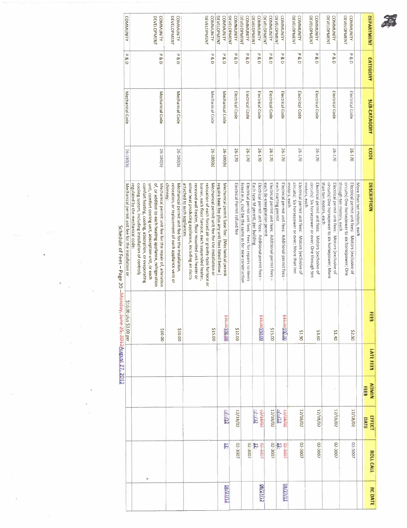

|                                               |                           |              | <b>CAME LE PRIMITY</b> |                         | Mechanical permit unit fee for the installation or                                                                                                                                                                                                                                                                              | 26-180(b) | Mechanical Code     | ᠊ᢦ<br><b>8D</b>                | <b>COMMUNITY</b>                       |
|-----------------------------------------------|---------------------------|--------------|------------------------|-------------------------|---------------------------------------------------------------------------------------------------------------------------------------------------------------------------------------------------------------------------------------------------------------------------------------------------------------------------------|-----------|---------------------|--------------------------------|----------------------------------------|
|                                               |                           |              |                        | \$10.00 plus \$3.00 per |                                                                                                                                                                                                                                                                                                                                 |           |                     |                                |                                        |
| ¥                                             |                           |              |                        | 00'01\$                 | of, or addition to each heating appliance, refrigeration<br>cooling system, including installation of controls<br>comfort heating, cooling, absorption, or evaporating<br>unit, comfort cooling unit, absorption unit, or each<br>Mechanical permit unit fee for the repair of, alteration<br>regulated by the mechanical code: | 26-180(b) | Mechanical Code     | <b>P&amp;D</b>                 | <b>DEVELOPMENT</b><br><b>COMMUNITY</b> |
|                                               |                           |              |                        | 210.00                  | chimney:<br>Mechanical permit unit fee for the installation,<br>relocation, or replacement of each appliance vent or                                                                                                                                                                                                            | 26-180(b) | Mechanical Code     | P<br>$\frac{8}{9}$             | <b>COMMUNITY</b><br><b>DEVELOPMENT</b> |
|                                               |                           |              |                        | \$15.00                 | attached to such appliances:<br>other heat producing appliance, including air ducts<br>burner, each floor furnace, each suspended heater,<br>Mechanical permit unit fee for the installation or<br>recessed wall heater, floor mounted unit heater or<br>relocation of each forced air or gravity-type furnace or               | 26-180(b) | Mechanical Code     | ᠊ᠣ<br>$\frac{8}{9}$            | DEVELOPMENT<br><b>COMMUNITY</b>        |
| F<br><b>CRITIZIO</b>                          | $1 - 112$                 |              |                        | 00'05500-565            | require base fee plus any unit fees listed below.<br>Mechanical permit base fee: (Mechanical permit                                                                                                                                                                                                                             | 26-180(b) | Mechanical Code     | ᠊ᠣ<br>® D                      | <b>DEVELOPMENT</b><br><b>COMMUNITY</b> |
| 02-3007                                       | 12/18/02                  |              |                        | 210.00                  | Electrical Permit refund fee                                                                                                                                                                                                                                                                                                    | 26-170    | Electrical Code     | ᠊ᢦ<br>ჯ<br>Ō                   | <b>DEVELOPMENT</b><br><b>COMMUNITY</b> |
| 02-3007                                       |                           |              |                        |                         | Electrical permit unit fees: Fees for repairs to items<br>listed in A, shall be the same as for new construction                                                                                                                                                                                                                | 26-170    | Electrical Code     | ᅮ<br>Q &                       | <b>DEVELOPMENT</b><br><b>COMMUNITY</b> |
| $t00t-0$<br>$\overline{5}$<br><b>CT/LZ/BO</b> | ro/st/ct<br>7/12          |              |                        | 00000990000             | Electrical permit unit fees: Additional permit fees -<br>Each type M permit; per building                                                                                                                                                                                                                                       | 26-170    | Electrical Code     | ᠊ᢦ<br>&D                       | <b>DEVELOPMENT</b><br><b>COMMUNITY</b> |
| 02-3007                                       | 12/18/02                  |              |                        | \$15.00                 | each de-energization permit<br>Electrical permit unit fees: Additional permit fees -                                                                                                                                                                                                                                            | 26-170    | Electrical Code     | ᠊ᢦ<br>8D                       | DEVELOPMENT<br><b>COMMUNITY</b>        |
| $t$ for $t$ to<br>N<br><b>98/27/12</b>        | co/st/ct<br>$\frac{1}{2}$ |              |                        | 00:04500:565            | Electrical permit unit fees: Additional permit fees -<br>each starting permit                                                                                                                                                                                                                                                   | 26-170    | Electrical Code     | ᠊ᢦ<br>R<br>O                   | <b>DEVELOPMENT</b><br><b>COMMUNITY</b> |
| 02-3007                                       | 12/18/02                  |              |                        | 06.1\$                  | circuits) Six horsepower or over; More than ten<br>Electrical permit unit fees: Motors (exclusive of<br>motors, each                                                                                                                                                                                                            | 26-170    | Electrical Code     | ᠊ᢦ<br><b>SCD</b>               | DEVELOPMENT<br><b>COMMUNITY</b>        |
| 02-3007                                       | 12/18/02                  |              |                        | \$3.60                  | circuits) Six horsepower or over; One through ten<br>Electrical permit unit fees: Motors (exclusive of<br>motors, each                                                                                                                                                                                                          | 26-170    | Electrical Code     | P<br>8D                        | <b>DEVELOPMENT</b><br><b>COMMUNITY</b> |
| 02-3007                                       | 12/18/02                  |              |                        | 21.40                   | than ten motors, each<br>circuits) One horsepower to six horsepower; More<br>Electrical permit unit fees: Motors (exclusive of                                                                                                                                                                                                  | 26-170    | Electrical Code     | ᠊ᢦ<br>8D                       | <b>DEVELOPMENT</b><br><b>COMMUNITY</b> |
| 02-3007                                       | 12/18/02                  |              |                        | 05'2\$                  | through ten motors, each<br>circults) One horsepower to six horsepower; One<br>Electrical permit unit fees: Motors (exclusive of<br>More than ten motors, each                                                                                                                                                                  | 26-170    | Electrical Code     | $\overline{\phantom{0}}$<br>8D | <b>DEVELOPMENT</b><br><b>COMMUNITY</b> |
|                                               | <b>DATE</b>               | <b>FEES</b>  |                        |                         |                                                                                                                                                                                                                                                                                                                                 |           |                     |                                |                                        |
| <b>HOLL CALL</b><br><b>RC DATE</b>            | EFFECT                    | <b>NIMOV</b> | LATE FEES              | <b>FEEB</b>             | DESCRIPTION                                                                                                                                                                                                                                                                                                                     | copt      | <b>SUB-CATAGORY</b> | <b>CATEGONY</b>                | <b>DEPARTMENT</b>                      |

Schedule of Fees - Page 20 - Monday, June 25, 2012 August 27, 2012